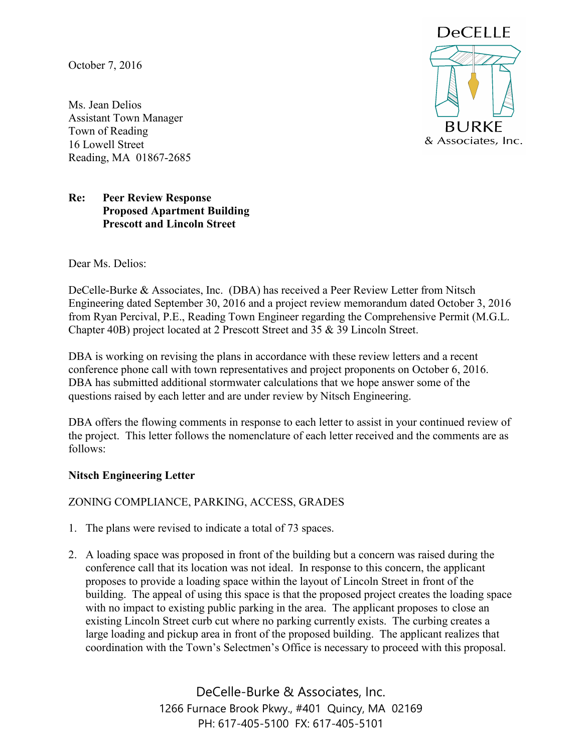October 7, 2016

Ms. Jean Delios Assistant Town Manager Town of Reading 16 Lowell Street Reading, MA 01867-2685



## **Re: Peer Review Response Proposed Apartment Building Prescott and Lincoln Street**

Dear Ms. Delios:

DeCelle-Burke & Associates, Inc. (DBA) has received a Peer Review Letter from Nitsch Engineering dated September 30, 2016 and a project review memorandum dated October 3, 2016 from Ryan Percival, P.E., Reading Town Engineer regarding the Comprehensive Permit (M.G.L. Chapter 40B) project located at 2 Prescott Street and 35 & 39 Lincoln Street.

DBA is working on revising the plans in accordance with these review letters and a recent conference phone call with town representatives and project proponents on October 6, 2016. DBA has submitted additional stormwater calculations that we hope answer some of the questions raised by each letter and are under review by Nitsch Engineering.

DBA offers the flowing comments in response to each letter to assist in your continued review of the project. This letter follows the nomenclature of each letter received and the comments are as follows:

### **Nitsch Engineering Letter**

ZONING COMPLIANCE, PARKING, ACCESS, GRADES

- 1. The plans were revised to indicate a total of 73 spaces.
- 2. A loading space was proposed in front of the building but a concern was raised during the conference call that its location was not ideal. In response to this concern, the applicant proposes to provide a loading space within the layout of Lincoln Street in front of the building. The appeal of using this space is that the proposed project creates the loading space with no impact to existing public parking in the area. The applicant proposes to close an existing Lincoln Street curb cut where no parking currently exists. The curbing creates a large loading and pickup area in front of the proposed building. The applicant realizes that coordination with the Town's Selectmen's Office is necessary to proceed with this proposal.

DeCelle-Burke & Associates, Inc. 1266 Furnace Brook Pkwy., #401 Quincy, MA 02169 PH: 617-405-5100 FX: 617-405-5101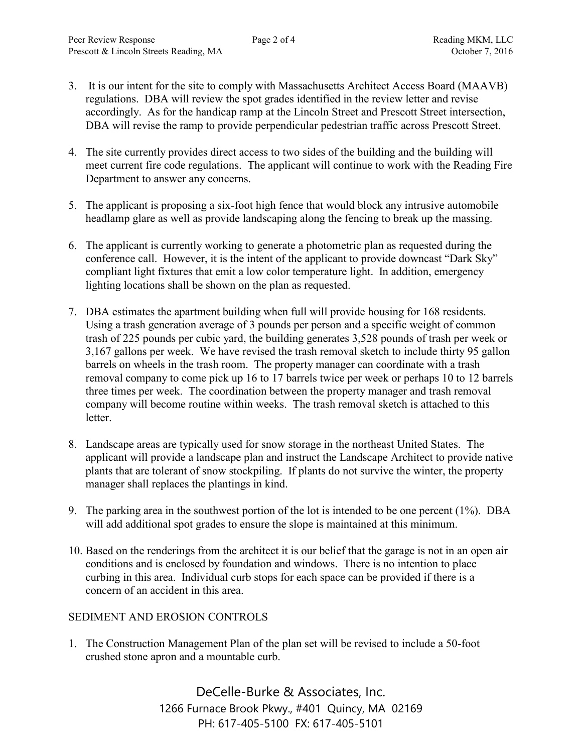- 3. It is our intent for the site to comply with Massachusetts Architect Access Board (MAAVB) regulations. DBA will review the spot grades identified in the review letter and revise accordingly. As for the handicap ramp at the Lincoln Street and Prescott Street intersection, DBA will revise the ramp to provide perpendicular pedestrian traffic across Prescott Street.
- 4. The site currently provides direct access to two sides of the building and the building will meet current fire code regulations. The applicant will continue to work with the Reading Fire Department to answer any concerns.
- 5. The applicant is proposing a six-foot high fence that would block any intrusive automobile headlamp glare as well as provide landscaping along the fencing to break up the massing.
- 6. The applicant is currently working to generate a photometric plan as requested during the conference call. However, it is the intent of the applicant to provide downcast "Dark Sky" compliant light fixtures that emit a low color temperature light. In addition, emergency lighting locations shall be shown on the plan as requested.
- 7. DBA estimates the apartment building when full will provide housing for 168 residents. Using a trash generation average of 3 pounds per person and a specific weight of common trash of 225 pounds per cubic yard, the building generates 3,528 pounds of trash per week or 3,167 gallons per week. We have revised the trash removal sketch to include thirty 95 gallon barrels on wheels in the trash room. The property manager can coordinate with a trash removal company to come pick up 16 to 17 barrels twice per week or perhaps 10 to 12 barrels three times per week. The coordination between the property manager and trash removal company will become routine within weeks. The trash removal sketch is attached to this letter.
- 8. Landscape areas are typically used for snow storage in the northeast United States. The applicant will provide a landscape plan and instruct the Landscape Architect to provide native plants that are tolerant of snow stockpiling. If plants do not survive the winter, the property manager shall replaces the plantings in kind.
- 9. The parking area in the southwest portion of the lot is intended to be one percent (1%). DBA will add additional spot grades to ensure the slope is maintained at this minimum.
- 10. Based on the renderings from the architect it is our belief that the garage is not in an open air conditions and is enclosed by foundation and windows. There is no intention to place curbing in this area. Individual curb stops for each space can be provided if there is a concern of an accident in this area.

### SEDIMENT AND EROSION CONTROLS

1. The Construction Management Plan of the plan set will be revised to include a 50-foot crushed stone apron and a mountable curb.

> DeCelle-Burke & Associates, Inc. 1266 Furnace Brook Pkwy., #401 Quincy, MA 02169 PH: 617-405-5100 FX: 617-405-5101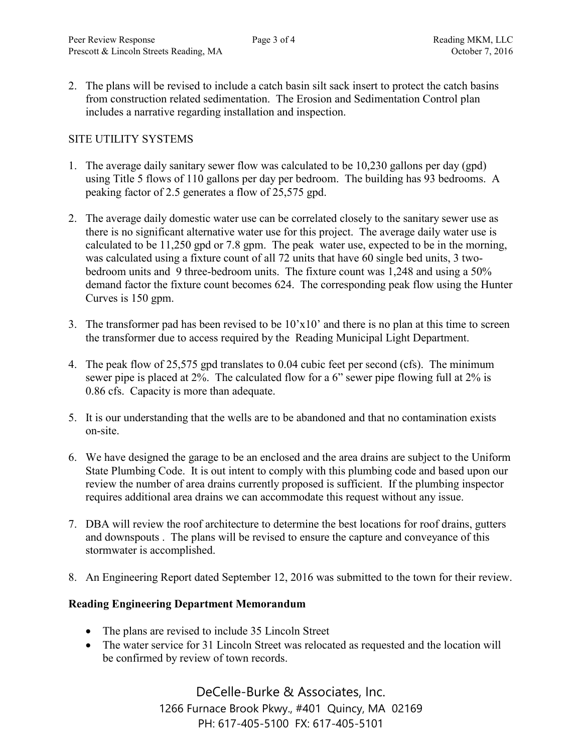2. The plans will be revised to include a catch basin silt sack insert to protect the catch basins from construction related sedimentation. The Erosion and Sedimentation Control plan includes a narrative regarding installation and inspection.

## SITE UTILITY SYSTEMS

- 1. The average daily sanitary sewer flow was calculated to be 10,230 gallons per day (gpd) using Title 5 flows of 110 gallons per day per bedroom. The building has 93 bedrooms. A peaking factor of 2.5 generates a flow of 25,575 gpd.
- 2. The average daily domestic water use can be correlated closely to the sanitary sewer use as there is no significant alternative water use for this project. The average daily water use is calculated to be 11,250 gpd or 7.8 gpm. The peak water use, expected to be in the morning, was calculated using a fixture count of all 72 units that have 60 single bed units, 3 twobedroom units and 9 three-bedroom units. The fixture count was 1,248 and using a 50% demand factor the fixture count becomes 624. The corresponding peak flow using the Hunter Curves is 150 gpm.
- 3. The transformer pad has been revised to be 10'x10' and there is no plan at this time to screen the transformer due to access required by the Reading Municipal Light Department.
- 4. The peak flow of 25,575 gpd translates to 0.04 cubic feet per second (cfs). The minimum sewer pipe is placed at 2%. The calculated flow for a 6" sewer pipe flowing full at 2% is 0.86 cfs. Capacity is more than adequate.
- 5. It is our understanding that the wells are to be abandoned and that no contamination exists on-site.
- 6. We have designed the garage to be an enclosed and the area drains are subject to the Uniform State Plumbing Code. It is out intent to comply with this plumbing code and based upon our review the number of area drains currently proposed is sufficient. If the plumbing inspector requires additional area drains we can accommodate this request without any issue.
- 7. DBA will review the roof architecture to determine the best locations for roof drains, gutters and downspouts . The plans will be revised to ensure the capture and conveyance of this stormwater is accomplished.
- 8. An Engineering Report dated September 12, 2016 was submitted to the town for their review.

### **Reading Engineering Department Memorandum**

- The plans are revised to include 35 Lincoln Street
- The water service for 31 Lincoln Street was relocated as requested and the location will be confirmed by review of town records.

DeCelle-Burke & Associates, Inc. 1266 Furnace Brook Pkwy., #401 Quincy, MA 02169 PH: 617-405-5100 FX: 617-405-5101